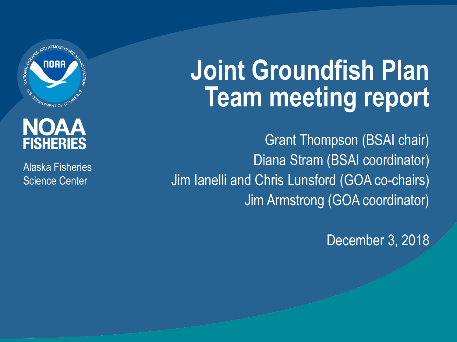

#### NOAA **FISHERIES**

Alaska Fisheries Science Center

# **Joint Groundfish Plan Team meeting report**

Grant Thompson (BSAI chair) Diana Stram (BSAI coordinator) Jim Ianelli and Chris Lunsford (GOA co-chairs) Jim Armstrong (GOA coordinator)

December 3, 2018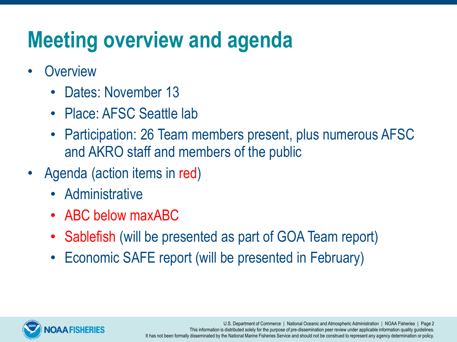## **Meeting overview and agenda**

- **Overview** 
	- Dates: November 13
	- Place: AFSC Seattle lab
	- Participation: 26 Team members present, plus numerous AFSC and AKRO staff and members of the public
- Agenda (action items in red)
	- Administrative
	- ABC below maxABC
	- Sablefish (will be presented as part of GOA Team report)
	- Economic SAFE report (will be presented in February)



U.S. Department of Commerce | National Oceanic and Atmospheric Administration | NOAA Fisheries | Page 2 This information is distributed solely for the purpose of pre-dissemination peer review under applicable information quality guidelines. It has not been formally disseminated by the National Marine Fisheries Service and should not be construed to represent any agency determination or policy.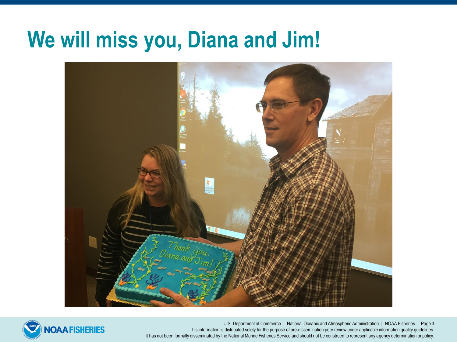### **We will miss you, Diana and Jim!**





U.S. Department of Commerce | National Oceanic and Atmospheric Administration | NOAA Fisheries | Page 3 This information is distributed solely for the purpose of pre-dissemination peer review under applicable information quality guidelines. It has not been formally disseminated by the National Marine Fisheries Service and should not be construed to represent any agency determination or policy.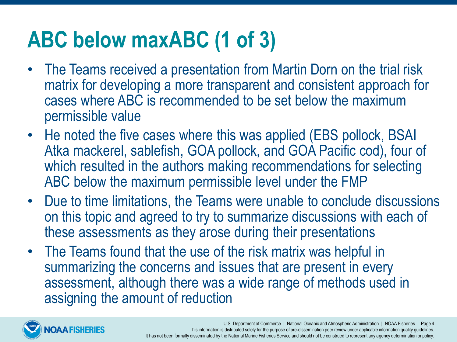# **ABC below maxABC (1 of 3)**

- The Teams received a presentation from Martin Dorn on the trial risk matrix for developing a more transparent and consistent approach for cases where ABC is recommended to be set below the maximum permissible value
- He noted the five cases where this was applied (EBS pollock, BSAI Atka mackerel, sablefish, GOA pollock, and GOA Pacific cod), four of which resulted in the authors making recommendations for selecting ABC below the maximum permissible level under the FMP
- Due to time limitations, the Teams were unable to conclude discussions on this topic and agreed to try to summarize discussions with each of these assessments as they arose during their presentations
- The Teams found that the use of the risk matrix was helpful in summarizing the concerns and issues that are present in every assessment, although there was a wide range of methods used in assigning the amount of reduction

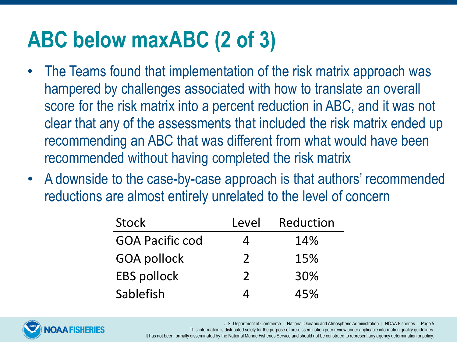# **ABC below maxABC (2 of 3)**

- The Teams found that implementation of the risk matrix approach was hampered by challenges associated with how to translate an overall score for the risk matrix into a percent reduction in ABC, and it was not clear that any of the assessments that included the risk matrix ended up recommending an ABC that was different from what would have been recommended without having completed the risk matrix
- A downside to the case-by-case approach is that authors' recommended reductions are almost entirely unrelated to the level of concern

| Stock                  | Level         | Reduction |
|------------------------|---------------|-----------|
| <b>GOA Pacific cod</b> |               | 14%       |
| <b>GOA pollock</b>     | $\mathcal{P}$ | 15%       |
| <b>EBS pollock</b>     | $\mathcal{P}$ | 30%       |
| Sablefish              |               | 45%       |



U.S. Department of Commerce | National Oceanic and Atmospheric Administration | NOAA Fisheries | Page 5 This information is distributed solely for the purpose of pre-dissemination peer review under applicable information quality guidelines. It has not been formally disseminated by the National Marine Fisheries Service and should not be construed to represent any agency determination or policy.